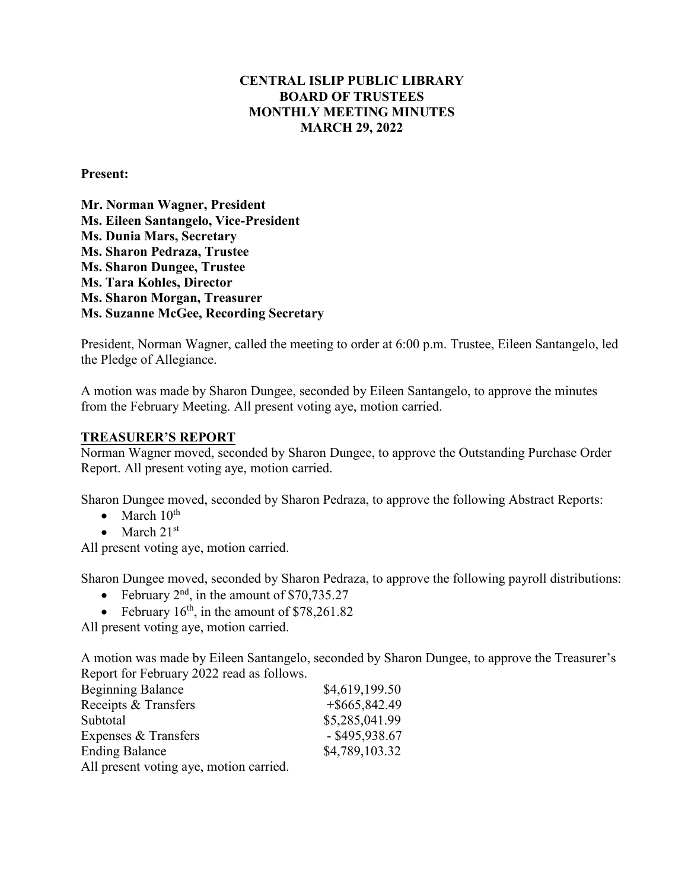## **CENTRAL ISLIP PUBLIC LIBRARY BOARD OF TRUSTEES MONTHLY MEETING MINUTES MARCH 29, 2022**

### **Present:**

**Mr. Norman Wagner, President Ms. Eileen Santangelo, Vice-President Ms. Dunia Mars, Secretary Ms. Sharon Pedraza, Trustee Ms. Sharon Dungee, Trustee Ms. Tara Kohles, Director Ms. Sharon Morgan, Treasurer Ms. Suzanne McGee, Recording Secretary**

President, Norman Wagner, called the meeting to order at 6:00 p.m. Trustee, Eileen Santangelo, led the Pledge of Allegiance.

A motion was made by Sharon Dungee, seconded by Eileen Santangelo, to approve the minutes from the February Meeting. All present voting aye, motion carried.

#### **TREASURER'S REPORT**

Norman Wagner moved, seconded by Sharon Dungee, to approve the Outstanding Purchase Order Report. All present voting aye, motion carried.

Sharon Dungee moved, seconded by Sharon Pedraza, to approve the following Abstract Reports:

- March  $10^{th}$
- March  $21<sup>st</sup>$

All present voting aye, motion carried.

Sharon Dungee moved, seconded by Sharon Pedraza, to approve the following payroll distributions:

- February  $2<sup>nd</sup>$ , in the amount of \$70,735.27
- February  $16<sup>th</sup>$ , in the amount of \$78,261.82

All present voting aye, motion carried.

A motion was made by Eileen Santangelo, seconded by Sharon Dungee, to approve the Treasurer's Report for February 2022 read as follows.

| <b>Beginning Balance</b>                | \$4,619,199.50   |
|-----------------------------------------|------------------|
| Receipts & Transfers                    | $+$ \$665,842.49 |
| Subtotal                                | \$5,285,041.99   |
| Expenses & Transfers                    | $-$ \$495,938.67 |
| <b>Ending Balance</b>                   | \$4,789,103.32   |
| All present voting aye, motion carried. |                  |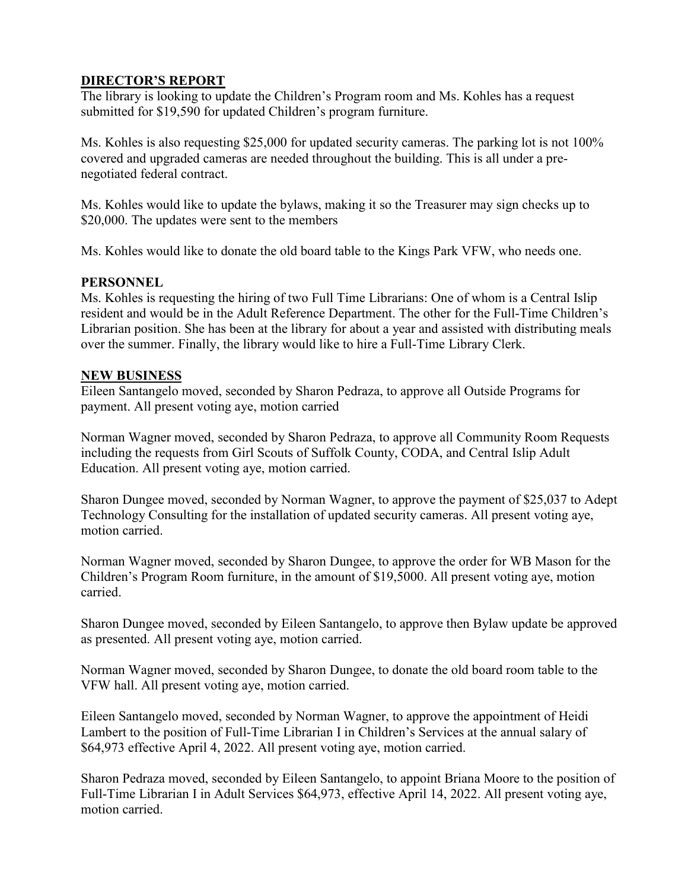# **DIRECTOR'S REPORT**

The library is looking to update the Children's Program room and Ms. Kohles has a request submitted for \$19,590 for updated Children's program furniture.

Ms. Kohles is also requesting \$25,000 for updated security cameras. The parking lot is not 100% covered and upgraded cameras are needed throughout the building. This is all under a prenegotiated federal contract.

Ms. Kohles would like to update the bylaws, making it so the Treasurer may sign checks up to \$20,000. The updates were sent to the members

Ms. Kohles would like to donate the old board table to the Kings Park VFW, who needs one.

## **PERSONNEL**

Ms. Kohles is requesting the hiring of two Full Time Librarians: One of whom is a Central Islip resident and would be in the Adult Reference Department. The other for the Full-Time Children's Librarian position. She has been at the library for about a year and assisted with distributing meals over the summer. Finally, the library would like to hire a Full-Time Library Clerk.

## **NEW BUSINESS**

Eileen Santangelo moved, seconded by Sharon Pedraza, to approve all Outside Programs for payment. All present voting aye, motion carried

Norman Wagner moved, seconded by Sharon Pedraza, to approve all Community Room Requests including the requests from Girl Scouts of Suffolk County, CODA, and Central Islip Adult Education. All present voting aye, motion carried.

Sharon Dungee moved, seconded by Norman Wagner, to approve the payment of \$25,037 to Adept Technology Consulting for the installation of updated security cameras. All present voting aye, motion carried.

Norman Wagner moved, seconded by Sharon Dungee, to approve the order for WB Mason for the Children's Program Room furniture, in the amount of \$19,5000. All present voting aye, motion carried.

Sharon Dungee moved, seconded by Eileen Santangelo, to approve then Bylaw update be approved as presented. All present voting aye, motion carried.

Norman Wagner moved, seconded by Sharon Dungee, to donate the old board room table to the VFW hall. All present voting aye, motion carried.

Eileen Santangelo moved, seconded by Norman Wagner, to approve the appointment of Heidi Lambert to the position of Full-Time Librarian I in Children's Services at the annual salary of \$64,973 effective April 4, 2022. All present voting aye, motion carried.

Sharon Pedraza moved, seconded by Eileen Santangelo, to appoint Briana Moore to the position of Full-Time Librarian I in Adult Services \$64,973, effective April 14, 2022. All present voting aye, motion carried.